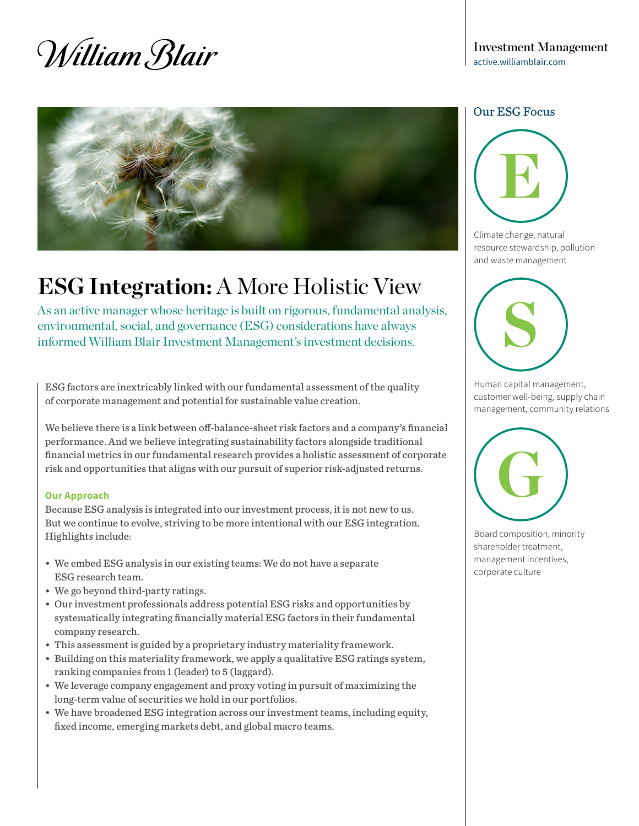# William Blair



## **ESG Integration:** A More Holistic View

As an active manager whose heritage is built on rigorous, fundamental analysis, environmental, social, and governance (ESG) considerations have always informed William Blair Investment Management's investment decisions.

ESG factors are inextricably linked with our fundamental assessment of the quality of corporate management and potential for sustainable value creation.

We believe there is a link between off-balance-sheet risk factors and a company's financial performance. And we believe integrating sustainability factors alongside traditional financial metrics in our fundamental research provides a holistic assessment of corporate risk and opportunities that aligns with our pursuit of superior risk-adjusted returns.

#### **Our Approach**

Because ESG analysis is integrated into our investment process, it is not new to us. But we continue to evolve, striving to be more intentional with our ESG integration. Highlights include:

- We embed ESG analysis in our existing teams: We do not have a separate ESG research team.
- We go beyond third-party ratings.
- Our investment professionals address potential ESG risks and opportunities by systematically integrating financially material ESG factors in their fundamental company research.
- This assessment is guided by a proprietary industry materiality framework.
- Building on this materiality framework, we apply a qualitative ESG ratings system, ranking companies from 1 (leader) to 5 (laggard).
- We leverage company engagement and proxy voting in pursuit of maximizing the long-term value of securities we hold in our portfolios.
- We have broadened ESG integration across our investment teams, including equity, fixed income, emerging markets debt, and global macro teams.

#### Our ESG Focus



Climate change, natural resource stewardship, pollution and waste management



Human capital management, customer well-being, supply chain management, community relations



Board composition, minority shareholder treatment, management incentives, corporate culture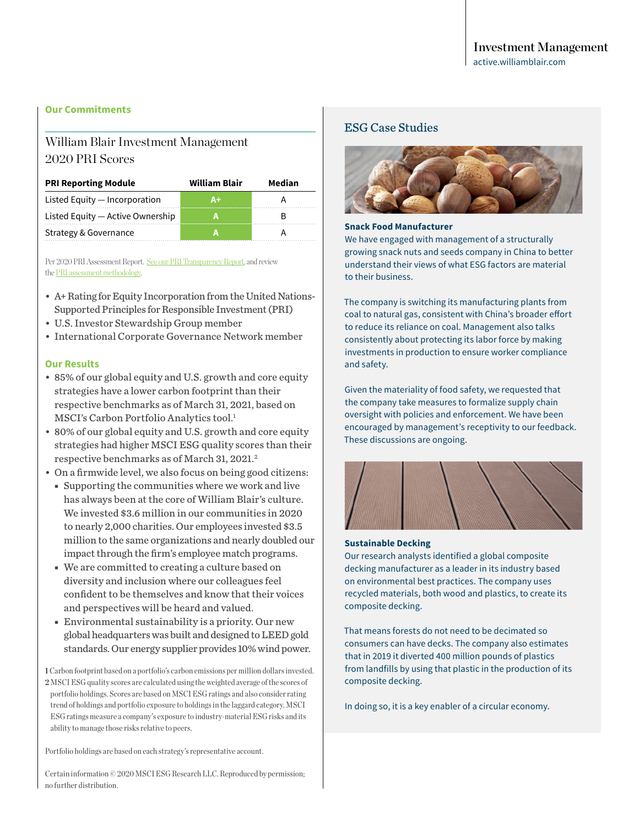#### **Our Commitments**

## William Blair Investment Management 2020 PRI Scores

| <b>PRI Reporting Module</b>      | <b>William Blair</b> | Median |  |
|----------------------------------|----------------------|--------|--|
| Listed Equity - Incorporation    | Δ+                   |        |  |
| Listed Equity - Active Ownership |                      |        |  |
| Strategy & Governance            |                      |        |  |

Per 2020 PRI Assessment Report. [See our PRI Transparency Report,](https://reporting.unpri.org/surveys/PRI-reporting-framework-2020/2818D3CB-8418-4F68-82E3-9D173606D7A7/79894dbc337a40828d895f9402aa63de/html/2/?lang=en&a=1) and review the [PRI assessment methodology.](https://www.unpri.org/reporting-and-assessment/reporting-and-assessment-archive/6567.article)

- A+ Rating for Equity Incorporation from the United Nations-Supported Principles for Responsible Investment (PRI)
- U.S. Investor Stewardship Group member
- International Corporate Governance Network member

#### **Our Results**

- 85% of our global equity and U.S. growth and core equity strategies have a lower carbon footprint than their respective benchmarks as of March 31, 2021, based on MSCI's Carbon Portfolio Analytics tool.<sup>1</sup>
- 80% of our global equity and U.S. growth and core equity strategies had higher MSCI ESG quality scores than their respective benchmarks as of March 31, 2021.<sup>2</sup>
- On a firmwide level, we also focus on being good citizens:
	- Supporting the communities where we work and live has always been at the core of William Blair's culture. We invested \$3.6 million in our communities in 2020 to nearly 2,000 charities. Our employees invested \$3.5 million to the same organizations and nearly doubled our impact through the firm's employee match programs.
	- We are committed to creating a culture based on diversity and inclusion where our colleagues feel confident to be themselves and know that their voices and perspectives will be heard and valued.
	- Environmental sustainability is a priority. Our new global headquarters was built and designed to LEED gold standards. Our energy supplier provides 10% wind power.

**1** Carbon footprint based on a portfolio's carbon emissions per million dollars invested. **2** MSCI ESG quality scores are calculated using the weighted average of the scores of portfolio holdings. Scores are based on MSCI ESG ratings and also consider rating trend of holdings and portfolio exposure to holdings in the laggard category. MSCI ESG ratings measure a company's exposure to industry-material ESG risks and its ability to manage those risks relative to peers.

Portfolio holdings are based on each strategy's representative account.

Certain information © 2020 MSCI ESG Research LLC. Reproduced by permission; no further distribution.

#### ESG Case Studies



#### **Snack Food Manufacturer**

We have engaged with management of a structurally growing snack nuts and seeds company in China to better understand their views of what ESG factors are material to their business.

The company is switching its manufacturing plants from coal to natural gas, consistent with China's broader effort to reduce its reliance on coal. Management also talks consistently about protecting its labor force by making investments in production to ensure worker compliance and safety.

Given the materiality of food safety, we requested that the company take measures to formalize supply chain oversight with policies and enforcement. We have been encouraged by management's receptivity to our feedback. These discussions are ongoing.



#### **Sustainable Decking**

Our research analysts identified a global composite decking manufacturer as a leader in its industry based on environmental best practices. The company uses recycled materials, both wood and plastics, to create its composite decking.

That means forests do not need to be decimated so consumers can have decks. The company also estimates that in 2019 it diverted 400 million pounds of plastics from landfills by using that plastic in the production of its composite decking.

In doing so, it is a key enabler of a circular economy.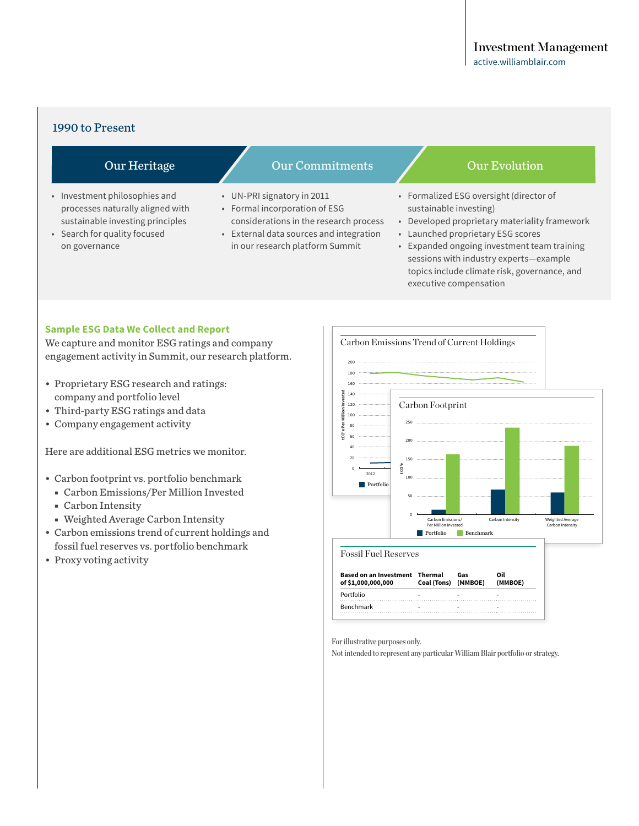#### 1990 to Present

- Investment philosophies and processes naturally aligned with sustainable investing principles
- Search for quality focused on governance

### Our Heritage **Our Commitments Our Evolution**

- UN-PRI signatory in 2011
- Formal incorporation of ESG considerations in the research process
- External data sources and integration in our research platform Summit

- Formalized ESG oversight (director of sustainable investing)
- Developed proprietary materiality framework
- Launched proprietary ESG scores
- Expanded ongoing investment team training sessions with industry experts—example topics include climate risk, governance, and executive compensation

#### **Sample ESG Data We Collect and Report**

We capture and monitor ESG ratings and company engagement activity in Summit, our research platform.

- Proprietary ESG research and ratings: company and portfolio level
- Third-party ESG ratings and data
- Company engagement activity

Here are additional ESG metrics we monitor.

- Carbon footprint vs. portfolio benchmark
	- Carbon Emissions/Per Million Invested
	- Carbon Intensity
	- Weighted Average Carbon Intensity
- Carbon emissions trend of current holdings and fossil fuel reserves vs. portfolio benchmark
- Proxy voting activity



| Based on an Investment Thermal<br>of \$1,000,000,000 | Coal (Tons) (MMBOE) | Gas | Ωil<br>(MMBOE) |
|------------------------------------------------------|---------------------|-----|----------------|
| Portfolio                                            | -                   |     |                |
| Benchmark                                            | -                   |     |                |

For illustrative purposes only.

Not intended to represent any particular William Blair portfolio or strategy.